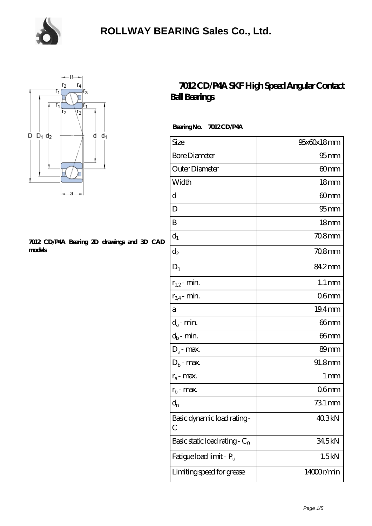



#### **[7012 CD/P4A Bearing 2D drawings and 3D CAD](https://m.chooseyourcufflinks.com/pic-938507.html) [models](https://m.chooseyourcufflinks.com/pic-938507.html)**

#### **[7012 CD/P4A SKF High Speed Angular Contact](https://m.chooseyourcufflinks.com/skf-bearing/7012-cd-p4a.html) [Ball Bearings](https://m.chooseyourcufflinks.com/skf-bearing/7012-cd-p4a.html)**

 **Bearing No. 7012 CD/P4A**

| Size                             | 95x60x18mm          |
|----------------------------------|---------------------|
| <b>Bore Diameter</b>             | $95$ <sub>mm</sub>  |
| Outer Diameter                   | 60mm                |
| Width                            | 18 <sub>mm</sub>    |
| d                                | 60mm                |
| D                                | 95 <sub>mm</sub>    |
| B                                | 18 <sub>mm</sub>    |
| $d_1$                            | 70.8mm              |
| $d_2$                            | 708mm               |
| $D_1$                            | 84.2mm              |
| $r_{1,2}$ - min.                 | $1.1 \,\mathrm{mm}$ |
| $r_{34}$ - min.                  | 06 <sub>mm</sub>    |
| a                                | 19.4mm              |
| $d_a$ - min.                     | 66mm                |
| $d_b$ - min.                     | 66mm                |
| $D_a$ - max.                     | 89mm                |
| $D_b$ - max.                     | 91.8mm              |
| $r_a$ - max.                     | 1 <sub>mm</sub>     |
| $r_{b}$ - max.                   | 06 <sub>mm</sub>    |
| $\mathrm{d}_{\mathrm{n}}$        | 731 mm              |
| Basic dynamic load rating-<br>С  | 40.3kN              |
| Basic static load rating - $C_0$ | 34.5kN              |
| Fatigue load limit - Pu          | 1.5kN               |
| Limiting speed for grease        | 14000r/min          |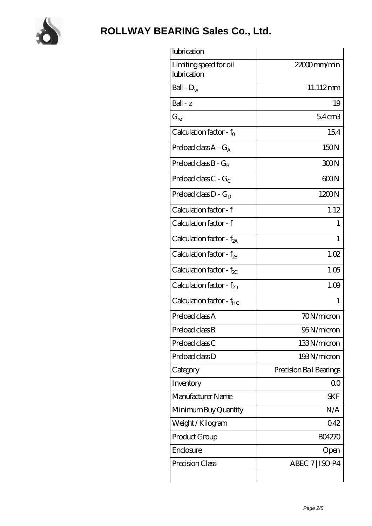

| lubrication                           |                         |
|---------------------------------------|-------------------------|
| Limiting speed for oil<br>lubrication | 22000mm/min             |
| Ball - $D_w$                          | 11.112mm                |
| Ball - z                              | 19                      |
| $G_{ref}$                             | $54$ cm $3$             |
| Calculation factor - $f_0$            | 154                     |
| Preload class $A - G_A$               | 150N                    |
| Preload class $B - G_R$               | 300N                    |
| Preload class $C - G_C$               | 600N                    |
| Preload class $D - G_D$               | 1200N                   |
| Calculation factor - f                | 1.12                    |
| Calculation factor - f                | 1                       |
| Calculation factor - $f_{2A}$         | 1                       |
| Calculation factor - $f_{2B}$         | 1.02                    |
| Calculation factor - $f_{\chi}$       | 1.05                    |
| Calculation factor - $f_{2D}$         | 1.09                    |
| Calculation factor - f <sub>HC</sub>  | 1                       |
| Preload class A                       | 70N/micron              |
| Preload class B                       | 95N/micron              |
| Preload class C                       | 133N/micron             |
| Preload class D                       | 193N/micron             |
| Category                              | Precision Ball Bearings |
| Inventory                             | Q0                      |
| Manufacturer Name                     | <b>SKF</b>              |
| Minimum Buy Quantity                  | N/A                     |
| Weight / Kilogram                     | 042                     |
| Product Group                         | <b>BO4270</b>           |
| Enclosure                             | Open                    |
| Precision Class                       | ABEC 7   ISO P4         |
|                                       |                         |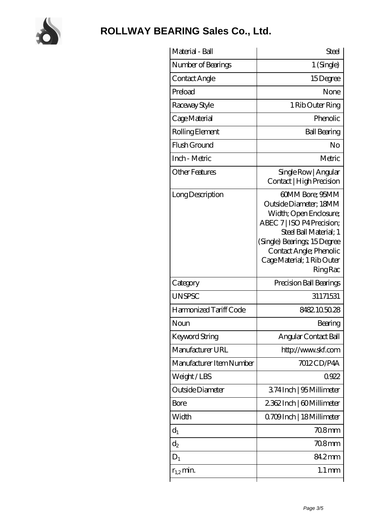

| 1 (Single)<br>Number of Bearings<br>Contact Angle<br>15Degree<br>Preload<br>None<br>Raceway Style<br>1 Rib Outer Ring<br>Phenolic<br>Cage Material<br>Rolling Element<br><b>Ball Bearing</b><br>Flush Ground<br>No<br>Inch - Metric<br>Metric<br><b>Other Features</b><br>Single Row   Angular<br>Contact   High Precision<br>60MM Bore; 95MM<br>Long Description<br>Outside Diameter; 18MM<br>Width; Open Enclosure;<br>ABEC 7   ISO P4 Precision;<br>Steel Ball Material; 1<br>(Single) Bearings; 15Degree<br>Contact Angle; Phenolic<br>Cage Material; 1 Rib Outer<br><b>Ring Rac</b><br>Precision Ball Bearings<br>Category<br><b>UNSPSC</b><br>31171531<br>Harmonized Tariff Code<br>8482.105028<br>Noun<br>Bearing<br>Keyword String<br>Angular Contact Ball<br>Manufacturer URL<br>http://www.skf.com<br>7012CD/P4A<br>Manufacturer Item Number<br>Weight/LBS<br>0922<br>Outside Diameter<br>374Inch   95 Millimeter<br>2362Inch   60Millimeter<br>Bore<br>Width<br>Q709Inch   18 Millimeter<br>$708$ mm<br>$d_1$<br>$\mathrm{d}_{2}$<br>70.8mm<br>84.2mm<br>$D_1$<br>$1.1 \,\mathrm{mm}$<br>$r_{1,2}$ min. | Material - Ball | Steel |
|--------------------------------------------------------------------------------------------------------------------------------------------------------------------------------------------------------------------------------------------------------------------------------------------------------------------------------------------------------------------------------------------------------------------------------------------------------------------------------------------------------------------------------------------------------------------------------------------------------------------------------------------------------------------------------------------------------------------------------------------------------------------------------------------------------------------------------------------------------------------------------------------------------------------------------------------------------------------------------------------------------------------------------------------------------------------------------------------------------------------|-----------------|-------|
|                                                                                                                                                                                                                                                                                                                                                                                                                                                                                                                                                                                                                                                                                                                                                                                                                                                                                                                                                                                                                                                                                                                    |                 |       |
|                                                                                                                                                                                                                                                                                                                                                                                                                                                                                                                                                                                                                                                                                                                                                                                                                                                                                                                                                                                                                                                                                                                    |                 |       |
|                                                                                                                                                                                                                                                                                                                                                                                                                                                                                                                                                                                                                                                                                                                                                                                                                                                                                                                                                                                                                                                                                                                    |                 |       |
|                                                                                                                                                                                                                                                                                                                                                                                                                                                                                                                                                                                                                                                                                                                                                                                                                                                                                                                                                                                                                                                                                                                    |                 |       |
|                                                                                                                                                                                                                                                                                                                                                                                                                                                                                                                                                                                                                                                                                                                                                                                                                                                                                                                                                                                                                                                                                                                    |                 |       |
|                                                                                                                                                                                                                                                                                                                                                                                                                                                                                                                                                                                                                                                                                                                                                                                                                                                                                                                                                                                                                                                                                                                    |                 |       |
|                                                                                                                                                                                                                                                                                                                                                                                                                                                                                                                                                                                                                                                                                                                                                                                                                                                                                                                                                                                                                                                                                                                    |                 |       |
|                                                                                                                                                                                                                                                                                                                                                                                                                                                                                                                                                                                                                                                                                                                                                                                                                                                                                                                                                                                                                                                                                                                    |                 |       |
|                                                                                                                                                                                                                                                                                                                                                                                                                                                                                                                                                                                                                                                                                                                                                                                                                                                                                                                                                                                                                                                                                                                    |                 |       |
|                                                                                                                                                                                                                                                                                                                                                                                                                                                                                                                                                                                                                                                                                                                                                                                                                                                                                                                                                                                                                                                                                                                    |                 |       |
|                                                                                                                                                                                                                                                                                                                                                                                                                                                                                                                                                                                                                                                                                                                                                                                                                                                                                                                                                                                                                                                                                                                    |                 |       |
|                                                                                                                                                                                                                                                                                                                                                                                                                                                                                                                                                                                                                                                                                                                                                                                                                                                                                                                                                                                                                                                                                                                    |                 |       |
|                                                                                                                                                                                                                                                                                                                                                                                                                                                                                                                                                                                                                                                                                                                                                                                                                                                                                                                                                                                                                                                                                                                    |                 |       |
|                                                                                                                                                                                                                                                                                                                                                                                                                                                                                                                                                                                                                                                                                                                                                                                                                                                                                                                                                                                                                                                                                                                    |                 |       |
|                                                                                                                                                                                                                                                                                                                                                                                                                                                                                                                                                                                                                                                                                                                                                                                                                                                                                                                                                                                                                                                                                                                    |                 |       |
|                                                                                                                                                                                                                                                                                                                                                                                                                                                                                                                                                                                                                                                                                                                                                                                                                                                                                                                                                                                                                                                                                                                    |                 |       |
|                                                                                                                                                                                                                                                                                                                                                                                                                                                                                                                                                                                                                                                                                                                                                                                                                                                                                                                                                                                                                                                                                                                    |                 |       |
|                                                                                                                                                                                                                                                                                                                                                                                                                                                                                                                                                                                                                                                                                                                                                                                                                                                                                                                                                                                                                                                                                                                    |                 |       |
|                                                                                                                                                                                                                                                                                                                                                                                                                                                                                                                                                                                                                                                                                                                                                                                                                                                                                                                                                                                                                                                                                                                    |                 |       |
|                                                                                                                                                                                                                                                                                                                                                                                                                                                                                                                                                                                                                                                                                                                                                                                                                                                                                                                                                                                                                                                                                                                    |                 |       |
|                                                                                                                                                                                                                                                                                                                                                                                                                                                                                                                                                                                                                                                                                                                                                                                                                                                                                                                                                                                                                                                                                                                    |                 |       |
|                                                                                                                                                                                                                                                                                                                                                                                                                                                                                                                                                                                                                                                                                                                                                                                                                                                                                                                                                                                                                                                                                                                    |                 |       |
|                                                                                                                                                                                                                                                                                                                                                                                                                                                                                                                                                                                                                                                                                                                                                                                                                                                                                                                                                                                                                                                                                                                    |                 |       |
|                                                                                                                                                                                                                                                                                                                                                                                                                                                                                                                                                                                                                                                                                                                                                                                                                                                                                                                                                                                                                                                                                                                    |                 |       |
|                                                                                                                                                                                                                                                                                                                                                                                                                                                                                                                                                                                                                                                                                                                                                                                                                                                                                                                                                                                                                                                                                                                    |                 |       |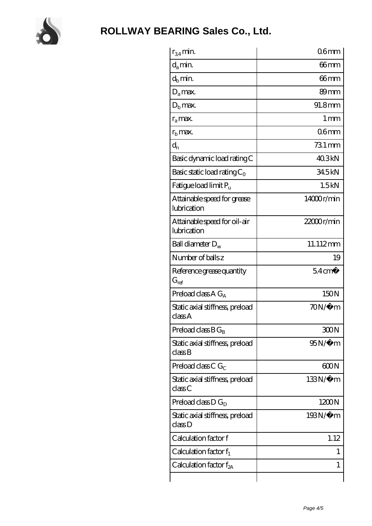

| $r_{34}$ min.                               | 06 <sub>mm</sub>    |
|---------------------------------------------|---------------------|
| $d_a$ min.                                  | 66mm                |
| $d_h$ min.                                  | 66mm                |
| $D_a$ max.                                  | 89 <sub>mm</sub>    |
| $Db$ max.                                   | 91.8mm              |
| $r_a$ max.                                  | $1 \,\mathrm{mm}$   |
| $rh$ max.                                   | 06 <sub>mm</sub>    |
| $d_{n}$                                     | $731 \,\mathrm{mm}$ |
| Basic dynamic load rating C                 | 40.3kN              |
| Basic static load rating $C_0$              | 34.5kN              |
| Fatigue load limit P <sub>u</sub>           | 1.5kN               |
| Attainable speed for grease<br>lubrication  | 14000r/min          |
| Attainable speed for oil-air<br>lubrication | $22000$ r/min       |
| Ball diameter $D_w$                         | 11.112mm            |
| Number of balls z                           | 19                  |
| Reference grease quantity<br>$G_{ref}$      | $54 \text{ cm}^3$   |
| Preload class A $G_A$                       | 150N                |
|                                             |                     |
| Static axial stiffness, preload<br>classA   | $70N/\mu$ m         |
| Preload class $BG_B$                        | 300N                |
| Static axial stiffness, preload<br>classB   | 95N/μ m             |
| Preload class C $G_C$                       | 600N                |
| Static axial stiffness, preload<br>classC   | $133N/\mu$ m        |
| Preload class $D G_D$                       | 1200N               |
| Static axial stiffness, preload<br>classD   | 193N/μ m            |
| Calculation factor f                        | 1.12                |
| Calculation factor $f_1$                    | L                   |
| Calculation factor $f_{2A}$                 | 1                   |